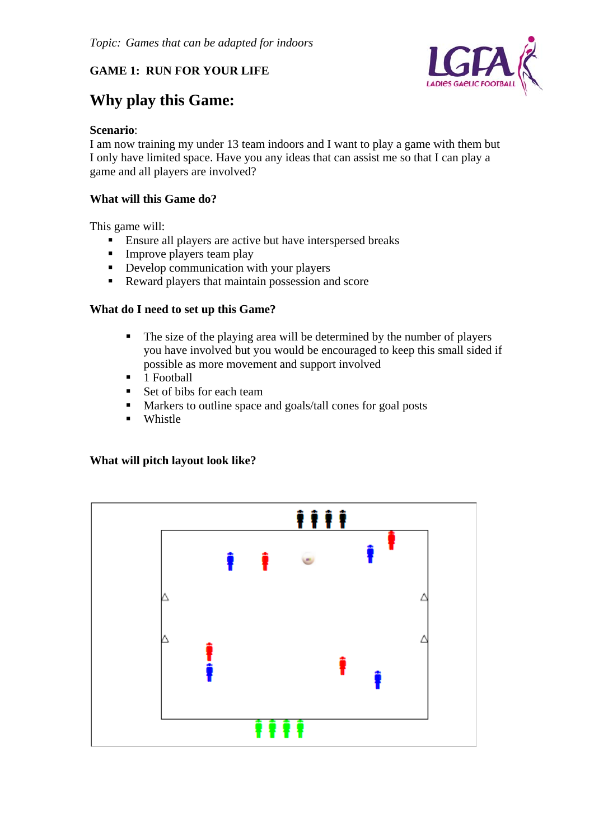# **GAME 1: RUN FOR YOUR LIFE**



# **Why play this Game:**

## **Scenario**:

I am now training my under 13 team indoors and I want to play a game with them but I only have limited space. Have you any ideas that can assist me so that I can play a game and all players are involved?

## **What will this Game do?**

This game will:

- Ensure all players are active but have interspersed breaks
- $\blacksquare$  Improve players team play
- Develop communication with your players
- Reward players that maintain possession and score

## **What do I need to set up this Game?**

- The size of the playing area will be determined by the number of players you have involved but you would be encouraged to keep this small sided if possible as more movement and support involved
- $\blacksquare$  1 Football
- Set of bibs for each team
- **Markers to outline space and goals/tall cones for goal posts**
- **Whistle**

#### **What will pitch layout look like?**

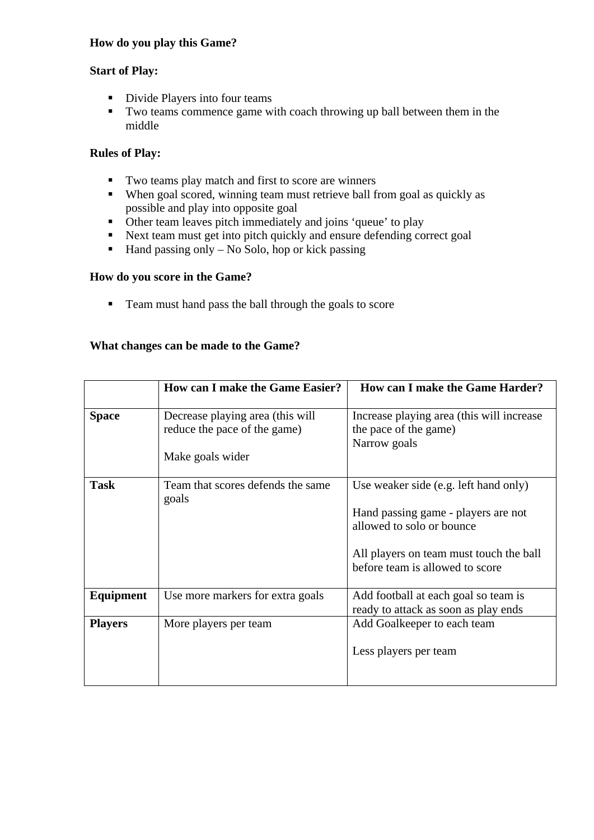## **How do you play this Game?**

#### **Start of Play:**

- Divide Players into four teams
- Two teams commence game with coach throwing up ball between them in the middle

# **Rules of Play:**

- Two teams play match and first to score are winners
- When goal scored, winning team must retrieve ball from goal as quickly as possible and play into opposite goal
- Other team leaves pitch immediately and joins 'queue' to play
- Next team must get into pitch quickly and ensure defending correct goal
- $\blacksquare$  Hand passing only No Solo, hop or kick passing

#### **How do you score in the Game?**

Team must hand pass the ball through the goals to score

## **What changes can be made to the Game?**

|                | <b>How can I make the Game Easier?</b>                                               | How can I make the Game Harder?                                                                                                                                                         |
|----------------|--------------------------------------------------------------------------------------|-----------------------------------------------------------------------------------------------------------------------------------------------------------------------------------------|
| <b>Space</b>   | Decrease playing area (this will<br>reduce the pace of the game)<br>Make goals wider | Increase playing area (this will increase<br>the pace of the game)<br>Narrow goals                                                                                                      |
| <b>Task</b>    | Team that scores defends the same<br>goals                                           | Use weaker side (e.g. left hand only)<br>Hand passing game - players are not<br>allowed to solo or bounce<br>All players on team must touch the ball<br>before team is allowed to score |
| Equipment      | Use more markers for extra goals                                                     | Add football at each goal so team is<br>ready to attack as soon as play ends                                                                                                            |
| <b>Players</b> | More players per team                                                                | Add Goalkeeper to each team<br>Less players per team                                                                                                                                    |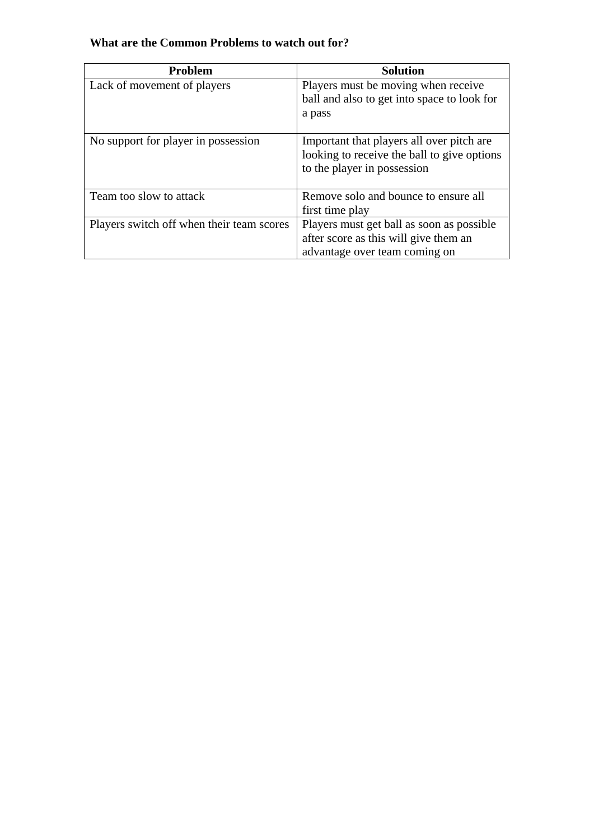# **What are the Common Problems to watch out for?**

| <b>Problem</b>                            | <b>Solution</b>                                                                                                          |
|-------------------------------------------|--------------------------------------------------------------------------------------------------------------------------|
| Lack of movement of players               | Players must be moving when receive                                                                                      |
|                                           | ball and also to get into space to look for                                                                              |
|                                           | a pass                                                                                                                   |
| No support for player in possession       | Important that players all over pitch are.<br>looking to receive the ball to give options<br>to the player in possession |
| Team too slow to attack                   | Remove solo and bounce to ensure all                                                                                     |
|                                           | first time play                                                                                                          |
| Players switch off when their team scores | Players must get ball as soon as possible                                                                                |
|                                           | after score as this will give them an                                                                                    |
|                                           | advantage over team coming on                                                                                            |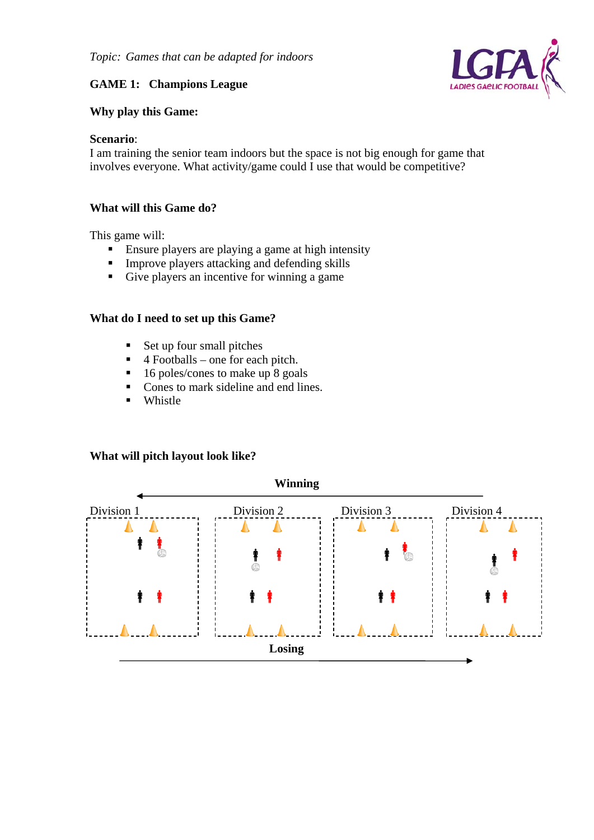# **GAME 1: Champions League**

## **Why play this Game:**

#### **Scenario**:

I am training the senior team indoors but the space is not big enough for game that involves everyone. What activity/game could I use that would be competitive?

#### **What will this Game do?**

This game will:

- Ensure players are playing a game at high intensity
- **IMPROVE players attacking and defending skills**
- Give players an incentive for winning a game

#### **What do I need to set up this Game?**

- $\blacksquare$  Set up four small pitches
- $\blacksquare$  4 Footballs one for each pitch.
- $\blacksquare$  16 poles/cones to make up 8 goals
- Cones to mark sideline and end lines.
- **Whistle**

## **What will pitch layout look like?**



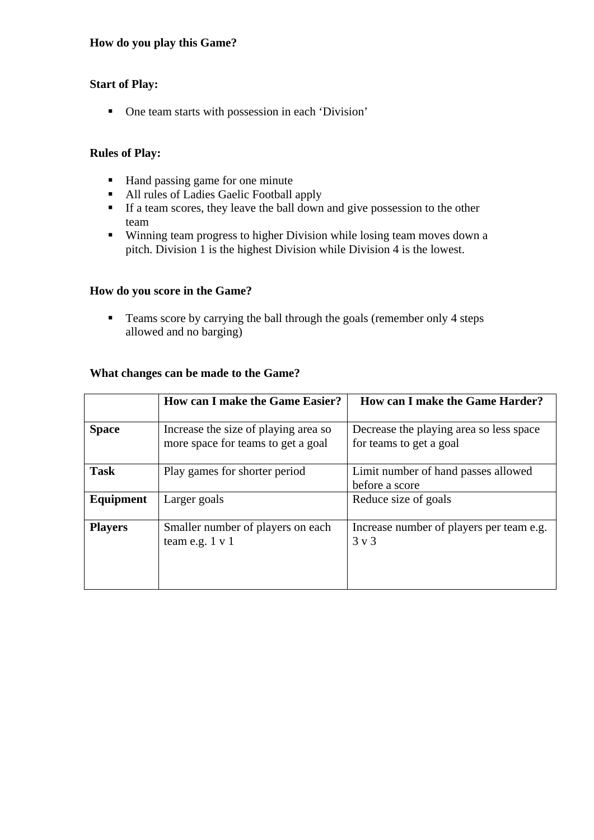#### **How do you play this Game?**

#### **Start of Play:**

One team starts with possession in each 'Division'

#### **Rules of Play:**

- Hand passing game for one minute
- All rules of Ladies Gaelic Football apply
- If a team scores, they leave the ball down and give possession to the other team
- Winning team progress to higher Division while losing team moves down a pitch. Division 1 is the highest Division while Division 4 is the lowest.

#### **How do you score in the Game?**

• Teams score by carrying the ball through the goals (remember only 4 steps allowed and no barging)

#### **What changes can be made to the Game?**

|                | <b>How can I make the Game Easier?</b>                                     | <b>How can I make the Game Harder?</b>                             |
|----------------|----------------------------------------------------------------------------|--------------------------------------------------------------------|
| <b>Space</b>   | Increase the size of playing area so<br>more space for teams to get a goal | Decrease the playing area so less space<br>for teams to get a goal |
| <b>Task</b>    | Play games for shorter period                                              | Limit number of hand passes allowed<br>before a score              |
| Equipment      | Larger goals                                                               | Reduce size of goals                                               |
| <b>Players</b> | Smaller number of players on each<br>team e.g. $1 \text{ v } 1$            | Increase number of players per team e.g.<br>$3 \times 3$           |